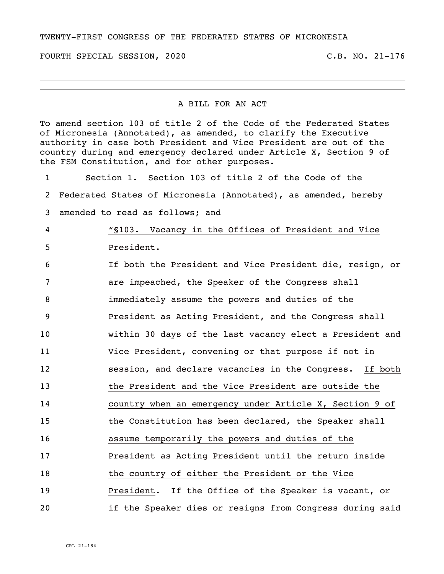TWENTY-FIRST CONGRESS OF THE FEDERATED STATES OF MICRONESIA

FOURTH SPECIAL SESSION, 2020 C.B. NO. 21-176

## A BILL FOR AN ACT

To amend section 103 of title 2 of the Code of the Federated States of Micronesia (Annotated), as amended, to clarify the Executive authority in case both President and Vice President are out of the country during and emergency declared under Article X, Section 9 of the FSM Constitution, and for other purposes.

 Section 1. Section 103 of title 2 of the Code of the Federated States of Micronesia (Annotated), as amended, hereby amended to read as follows; and "§103. Vacancy in the Offices of President and Vice President. If both the President and Vice President die, resign, or are impeached, the Speaker of the Congress shall immediately assume the powers and duties of the President as Acting President, and the Congress shall within 30 days of the last vacancy elect a President and Vice President, convening or that purpose if not in session, and declare vacancies in the Congress. If both the President and the Vice President are outside the country when an emergency under Article X, Section 9 of the Constitution has been declared, the Speaker shall assume temporarily the powers and duties of the President as Acting President until the return inside the country of either the President or the Vice President. If the Office of the Speaker is vacant, or if the Speaker dies or resigns from Congress during said